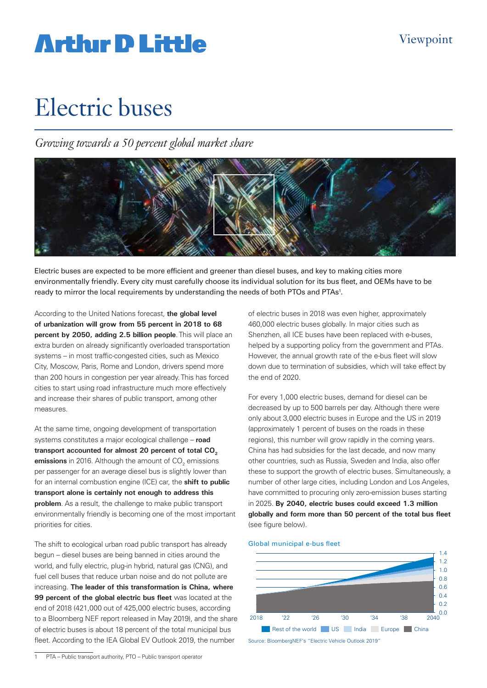# **Artlur D Little**

# Electric buses

*Growing towards a 50 percent global market share*



Electric buses are expected to be more efficient and greener than diesel buses, and key to making cities more environmentally friendly. Every city must carefully choose its individual solution for its bus fleet, and OEMs have to be ready to mirror the local requirements by understanding the needs of both PTOs and PTAs<sup>1</sup>.

According to the United Nations forecast, **the global level of urbanization will grow from 55 percent in 2018 to 68 percent by 2050, adding 2.5 billion people**. This will place an extra burden on already significantly overloaded transportation systems – in most traffic-congested cities, such as Mexico City, Moscow, Paris, Rome and London, drivers spend more than 200 hours in congestion per year already. This has forced cities to start using road infrastructure much more effectively and increase their shares of public transport, among other measures.

At the same time, ongoing development of transportation systems constitutes a major ecological challenge – **road**  transport accounted for almost 20 percent of total CO<sub>2</sub> **emissions** in 2016. Although the amount of CO<sub>2</sub> emissions per passenger for an average diesel bus is slightly lower than for an internal combustion engine (ICE) car, the **shift to public transport alone is certainly not enough to address this problem**. As a result, the challenge to make public transport environmentally friendly is becoming one of the most important priorities for cities.

The shift to ecological urban road public transport has already begun – diesel buses are being banned in cities around the world, and fully electric, plug-in hybrid, natural gas (CNG), and fuel cell buses that reduce urban noise and do not pollute are increasing. **The leader of this transformation is China, where 99 percent of the global electric bus fleet** was located at the end of 2018 (421,000 out of 425,000 electric buses, according to a Bloomberg NEF report released in May 2019), and the share of electric buses is about 18 percent of the total municipal bus fleet. According to the IEA Global EV Outlook 2019, the number

1 PTA – Public transport authority, PTO – Public transport operator

of electric buses in 2018 was even higher, approximately 460,000 electric buses globally. In major cities such as Shenzhen, all ICE buses have been replaced with e-buses, helped by a supporting policy from the government and PTAs. However, the annual growth rate of the e-bus fleet will slow down due to termination of subsidies, which will take effect by the end of 2020.

For every 1,000 electric buses, demand for diesel can be decreased by up to 500 barrels per day. Although there were only about 3,000 electric buses in Europe and the US in 2019 (approximately 1 percent of buses on the roads in these regions), this number will grow rapidly in the coming years. China has had subsidies for the last decade, and now many other countries, such as Russia, Sweden and India, also offer these to support the growth of electric buses. Simultaneously, a number of other large cities, including London and Los Angeles, have committed to procuring only zero-emission buses starting in 2025. **By 2040, electric buses could exceed 1.3 million globally and form more than 50 percent of the total bus fleet** (see figure below).

#### Global municipal e-bus fleet



Source: BloombergNEF's "Electric Vehicle Outlook 2019"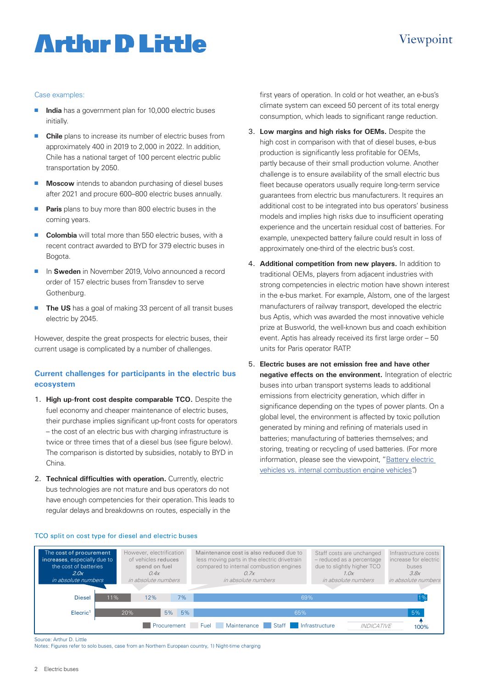## Viewpoint

# **Arthır D Little**

### Case examples:

- **India** has a government plan for 10,000 electric buses initially.
- **n Chile** plans to increase its number of electric buses from approximately 400 in 2019 to 2,000 in 2022. In addition, Chile has a national target of 100 percent electric public transportation by 2050.
- **n Moscow** intends to abandon purchasing of diesel buses after 2021 and procure 600–800 electric buses annually.
- **Paris** plans to buy more than 800 electric buses in the coming years.
- **Colombia** will total more than 550 electric buses, with a recent contract awarded to BYD for 379 electric buses in Bogota.
- In **Sweden** in November 2019, Volvo announced a record order of 157 electric buses from Transdev to serve Gothenburg.
- **The US** has a goal of making 33 percent of all transit buses electric by 2045.

However, despite the great prospects for electric buses, their current usage is complicated by a number of challenges.

### **Current challenges for participants in the electric bus ecosystem**

- 1. **High up-front cost despite comparable TCO.** Despite the fuel economy and cheaper maintenance of electric buses, their purchase implies significant up-front costs for operators – the cost of an electric bus with charging infrastructure is twice or three times that of a diesel bus (see figure below). The comparison is distorted by subsidies, notably to BYD in China.
- 2. **Technical difficulties with operation.** Currently, electric bus technologies are not mature and bus operators do not have enough competencies for their operation. This leads to regular delays and breakdowns on routes, especially in the

TCO split on cost type for diesel and electric buses

first years of operation. In cold or hot weather, an e-bus's climate system can exceed 50 percent of its total energy consumption, which leads to significant range reduction.

- 3. **Low margins and high risks for OEMs.** Despite the high cost in comparison with that of diesel buses, e-bus production is significantly less profitable for OEMs, partly because of their small production volume. Another challenge is to ensure availability of the small electric bus fleet because operators usually require long-term service guarantees from electric bus manufacturers. It requires an additional cost to be integrated into bus operators' business models and implies high risks due to insufficient operating experience and the uncertain residual cost of batteries. For example, unexpected battery failure could result in loss of approximately one-third of the electric bus's cost.
- 4. **Additional competition from new players.** In addition to traditional OEMs, players from adjacent industries with strong competencies in electric motion have shown interest in the e-bus market. For example, Alstom, one of the largest manufacturers of railway transport, developed the electric bus Aptis, which was awarded the most innovative vehicle prize at Busworld, the well-known bus and coach exhibition event. Aptis has already received its first large order – 50 units for Paris operator RATP.
- 5. **Electric buses are not emission free and have other negative effects on the environment.** Integration of electric buses into urban transport systems leads to additional emissions from electricity generation, which differ in significance depending on the types of power plants. On a global level, the environment is affected by toxic pollution generated by mining and refining of materials used in batteries; manufacturing of batteries themselves; and storing, treating or recycling of used batteries. (For more information, please see the viewpoint, "Battery electric [vehicles vs. internal combustion engine vehicles"](https://www.adlittle.com/en/insights/viewpoints/battery-electric-vehicles-vs-internal-combustion-engine-vehicles).)



Source: Arthur D. Little

Notes: Figures refer to solo buses, case from an Northern European country, 1) Night-time charging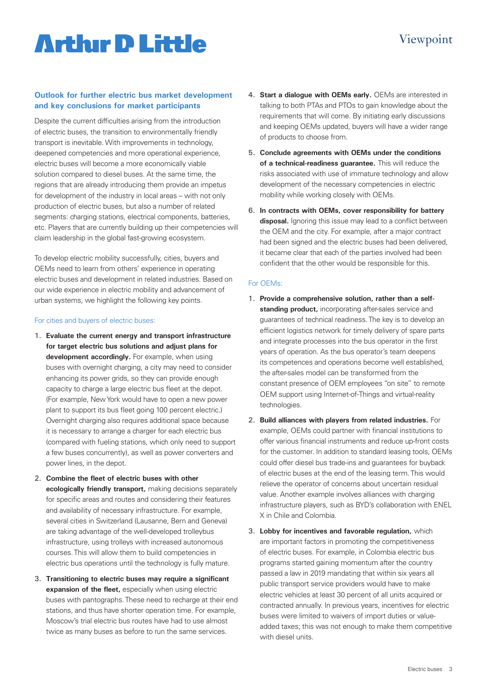# **Artlur D Little**

### **Outlook for further electric bus market development and key conclusions for market participants**

Despite the current difficulties arising from the introduction of electric buses, the transition to environmentally friendly transport is inevitable. With improvements in technology, deepened competencies and more operational experience, electric buses will become a more economically viable solution compared to diesel buses. At the same time, the regions that are already introducing them provide an impetus for development of the industry in local areas – with not only production of electric buses, but also a number of related segments: charging stations, electrical components, batteries, etc. Players that are currently building up their competencies will claim leadership in the global fast-growing ecosystem.

To develop electric mobility successfully, cities, buyers and OEMs need to learn from others' experience in operating electric buses and development in related industries. Based on our wide experience in electric mobility and advancement of urban systems, we highlight the following key points.

#### For cities and buyers of electric buses:

- 1. **Evaluate the current energy and transport infrastructure for target electric bus solutions and adjust plans for development accordingly.** For example, when using buses with overnight charging, a city may need to consider enhancing its power grids, so they can provide enough capacity to charge a large electric bus fleet at the depot. (For example, New York would have to open a new power plant to support its bus fleet going 100 percent electric.) Overnight charging also requires additional space because it is necessary to arrange a charger for each electric bus (compared with fueling stations, which only need to support a few buses concurrently), as well as power converters and power lines, in the depot.
- 2. **Combine the fleet of electric buses with other ecologically friendly transport,** making decisions separately for specific areas and routes and considering their features and availability of necessary infrastructure. For example, several cities in Switzerland (Lausanne, Bern and Geneva) are taking advantage of the well-developed trolleybus infrastructure, using trolleys with increased autonomous courses. This will allow them to build competencies in electric bus operations until the technology is fully mature.
- 3. **Transitioning to electric buses may require a significant expansion of the fleet,** especially when using electric buses with pantographs. These need to recharge at their end stations, and thus have shorter operation time. For example, Moscow's trial electric bus routes have had to use almost twice as many buses as before to run the same services.

4. **Start a dialogue with OEMs early.** OEMs are interested in talking to both PTAs and PTOs to gain knowledge about the requirements that will come. By initiating early discussions and keeping OEMs updated, buyers will have a wider range of products to choose from.

Viewpoint

- 5. **Conclude agreements with OEMs under the conditions of a technical-readiness guarantee.** This will reduce the risks associated with use of immature technology and allow development of the necessary competencies in electric mobility while working closely with OEMs.
- 6. **In contracts with OEMs, cover responsibility for battery disposal.** Ignoring this issue may lead to a conflict between the OEM and the city. For example, after a major contract had been signed and the electric buses had been delivered, it became clear that each of the parties involved had been confident that the other would be responsible for this.

### For OEMs:

- 1. **Provide a comprehensive solution, rather than a selfstanding product,** incorporating after-sales service and guarantees of technical readiness. The key is to develop an efficient logistics network for timely delivery of spare parts and integrate processes into the bus operator in the first years of operation. As the bus operator's team deepens its competences and operations become well established, the after-sales model can be transformed from the constant presence of OEM employees "on site" to remote OEM support using Internet-of-Things and virtual-reality technologies.
- 2. **Build alliances with players from related industries.** For example, OEMs could partner with financial institutions to offer various financial instruments and reduce up-front costs for the customer. In addition to standard leasing tools, OEMs could offer diesel bus trade-ins and guarantees for buyback of electric buses at the end of the leasing term. This would relieve the operator of concerns about uncertain residual value. Another example involves alliances with charging infrastructure players, such as BYD's collaboration with ENEL X in Chile and Colombia.
- 3. **Lobby for incentives and favorable regulation,** which are important factors in promoting the competitiveness of electric buses. For example, in Colombia electric bus programs started gaining momentum after the country passed a law in 2019 mandating that within six years all public transport service providers would have to make electric vehicles at least 30 percent of all units acquired or contracted annually. In previous years, incentives for electric buses were limited to waivers of import duties or valueadded taxes; this was not enough to make them competitive with diesel units.